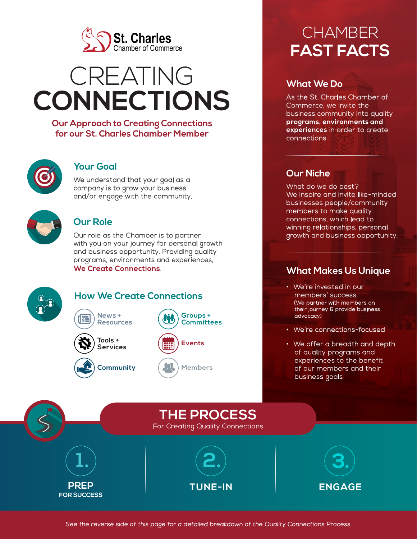

# CREATING **CONNECTIONS**

**Our Approach to Creating Connections for our St. Charles Chamber Member**



## **Your Goal**

We understand that your goal as a company is to grow your business and/or engage with the community.



## **Our Role**

Our role as the Chamber is to partner with you on your journey for personal growth and business opportunity. Providing quality programs, environments and experiences, **We Create Connections**.



# **How We Create Connections**





**News +** 



# **CHAMBER FAST FACTS**

# **What We Do**

As the St. Charles Chamber of Commerce, we invite the business community into quality **programs, environments and experiences** in order to create connections.

# **Our Niche**

What do we do best? We inspire and invite like-minded businesses people/community members to make quality connections, which lead to winning relationships, personal growth and business opportunity.

# **What Makes Us Unique**

- We're invested in our members' success (We partner with members on their journey & provide business advocacy)
- We're connections-focused
- We offer a breadth and depth of quality programs and experiences to the benefit of our members and their business goals



**Members**